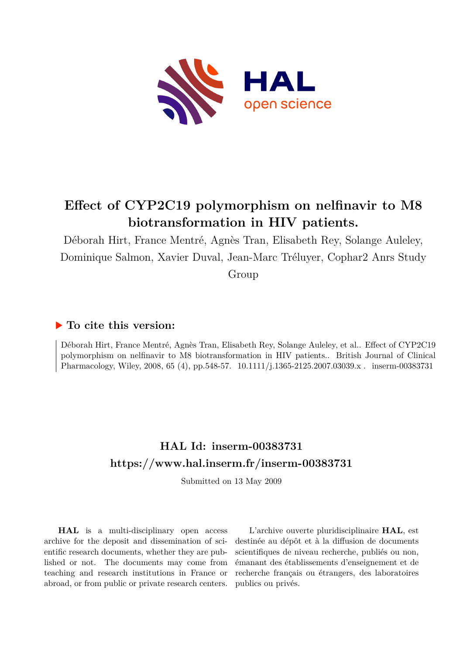

# **Effect of CYP2C19 polymorphism on nelfinavir to M8 biotransformation in HIV patients.**

Déborah Hirt, France Mentré, Agnès Tran, Elisabeth Rey, Solange Auleley, Dominique Salmon, Xavier Duval, Jean-Marc Tréluyer, Cophar2 Anrs Study Group

## **To cite this version:**

Déborah Hirt, France Mentré, Agnès Tran, Elisabeth Rey, Solange Auleley, et al.. Effect of CYP2C19 polymorphism on nelfinavir to M8 biotransformation in HIV patients.. British Journal of Clinical Pharmacology, Wiley, 2008, 65 (4), pp.548-57. 10.1111/j.1365-2125.2007.03039.x. inserm-00383731

## **HAL Id: inserm-00383731 <https://www.hal.inserm.fr/inserm-00383731>**

Submitted on 13 May 2009

**HAL** is a multi-disciplinary open access archive for the deposit and dissemination of scientific research documents, whether they are published or not. The documents may come from teaching and research institutions in France or abroad, or from public or private research centers.

L'archive ouverte pluridisciplinaire **HAL**, est destinée au dépôt et à la diffusion de documents scientifiques de niveau recherche, publiés ou non, émanant des établissements d'enseignement et de recherche français ou étrangers, des laboratoires publics ou privés.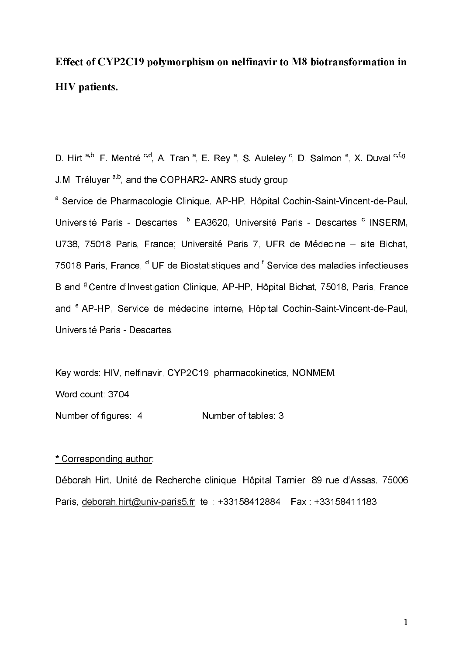# Effect of CYP2C19 polymorphism on nelfinavir to M8 biotransformation in **HIV** patients.

D. Hirt <sup>a,b</sup>, F. Mentré <sup>c,d</sup>, A. Tran <sup>a</sup>, E. Rey <sup>a</sup>, S. Auleley <sup>c</sup>, D. Salmon <sup>e</sup>, X. Duval <sup>c,f,g</sup>, J.M. Tréluyer <sup>a,b</sup>, and the COPHAR2- ANRS study group.

<sup>a</sup> Service de Pharmacologie Clinique, AP-HP, Hôpital Cochin-Saint-Vincent-de-Paul, Université Paris - Descartes <sup>b</sup> EA3620, Université Paris - Descartes <sup>c</sup> INSERM, U738, 75018 Paris, France; Université Paris 7, UFR de Médecine – site Bichat, 75018 Paris, France, <sup>d</sup> UF de Biostatistiques and <sup>f</sup> Service des maladies infectieuses B and <sup>g</sup> Centre d'Investigation Clinique, AP-HP, Hôpital Bichat, 75018, Paris, France and <sup>e</sup> AP-HP, Service de médecine interne, Hôpital Cochin-Saint-Vincent-de-Paul, Université Paris - Descartes.

Key words: HIV, nelfinavir, CYP2C19, pharmacokinetics, NONMEM. Word count: 3704

Number of figures: 4 Number of tables: 3

#### \* Corresponding author:

Déborah Hirt, Unité de Recherche clinique, Hôpital Tarnier, 89 rue d'Assas, 75006 Paris, deborah.hirt@univ-paris5.fr, tel : +33158412884 Fax : +33158411183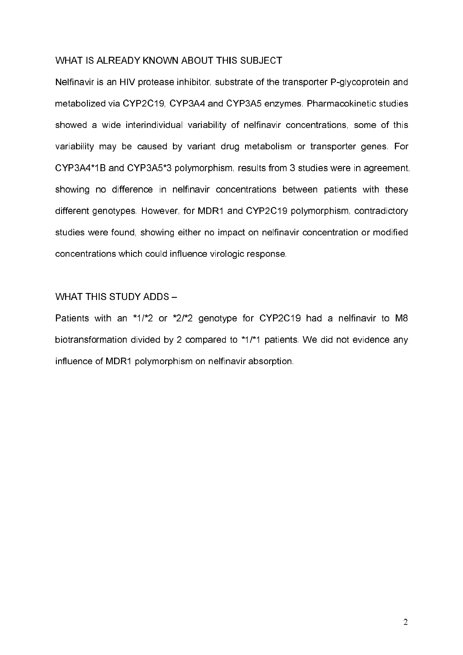#### WHAT IS ALREADY KNOWN ABOUT THIS SUBJECT

Nelfinavir is an HIV protease inhibitor, substrate of the transporter P-glycoprotein and metabolized via CYP2C19, CYP3A4 and CYP3A5 enzymes. Pharmacokinetic studies showed a wide interindividual variability of nelfinavir concentrations, some of this variability may be caused by variant drug metabolism or transporter genes. For CYP3A4\*1B and CYP3A5\*3 polymorphism, results from 3 studies were in agreement, showing no difference in nelfinavir concentrations between patients with these different genotypes. However, for MDR1 and CYP2C19 polymorphism, contradictory studies were found, showing either no impact on nelfinavir concentration or modified concentrations which could influence virologic response.

## WHAT THIS STUDY ADDS –

Patients with an \*1/\*2 or \*2/\*2 genotype for CYP2C19 had a nelfinavir to M8 biotransformation divided by 2 compared to \*1/\*1 patients. We did not evidence any influence of MDR1 polymorphism on nelfinavir absorption.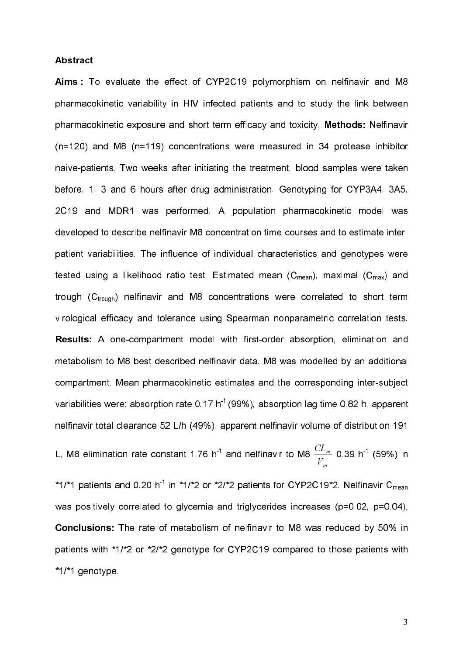## **Abstract**

Aims: To evaluate the effect of CYP2C19 polymorphism on nelfinavir and M8 pharmacokinetic variability in HIV infected patients and to study the link between pharmacokinetic exposure and short term efficacy and toxicity. Methods: Nelfinavir (n=120) and M8 (n=119) concentrations were measured in 34 protease inhibitor naive-patients. Two weeks after initiating the treatment, blood samples were taken before, 1, 3 and 6 hours after drug administration. Genotyping for CYP3A4, 3A5, 2C19 and MDR1 was performed. A population pharmacokinetic model was developed to describe nelfinavir-M8 concentration time-courses and to estimate interpatient variabilities. The influence of individual characteristics and genotypes were tested using a likelihood ratio test. Estimated mean (C<sub>mean</sub>), maximal (C<sub>max</sub>) and trough (C<sub>trough</sub>) nelfinavir and M8 concentrations were correlated to short term virological efficacy and tolerance using Spearman nonparametric correlation tests. Results: A one-compartment model with first-order absorption, elimination and metabolism to M8 best described nelfinavir data. M8 was modelled by an additional compartment. Mean pharmacokinetic estimates and the corresponding inter-subject variabilities were: absorption rate 0.17 h<sup>1</sup> (99%), absorption lag time 0.82 h, apparent nelfinavir total clearance 52 L/h (49%), apparent nelfinavir volume of distribution 191

L, M8 elimination rate constant 1.76  $h^{-1}$  and nelfinavir to M8  $\overline{m}$  $\overline{m}$  $\overline{V}$  $\frac{CL_m}{II}$  0.39 h<sup>-1</sup> (59%) in

\*1/\*1 patients and 0.20 h<sup>-1</sup> in \*1/\*2 or \*2/\*2 patients for CYP2C19\*2. Nelfinavir C<sub>mean</sub> was positively correlated to glycemia and triglycerides increases (p=0.02, p=0.04). Conclusions: The rate of metabolism of nelfinavir to M8 was reduced by 50% in patients with \*1/\*2 or \*2/\*2 genotype for CYP2C19 compared to those patients with \*1/\*1 genotype.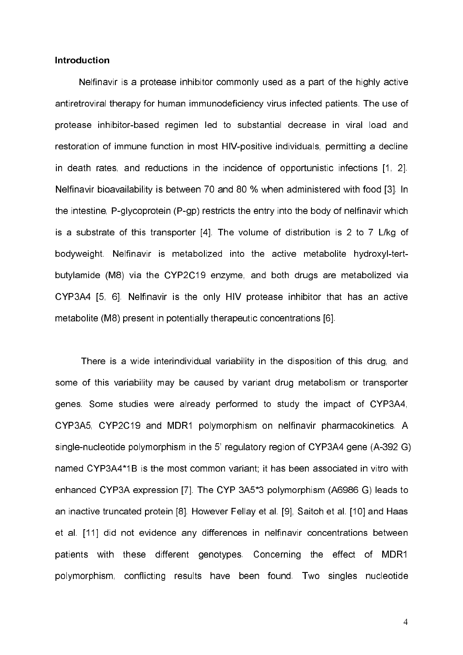#### Introduction

 Nelfinavir is a protease inhibitor commonly used as a part of the highly active antiretroviral therapy for human immunodeficiency virus infected patients. The use of protease inhibitor-based regimen led to substantial decrease in viral load and restoration of immune function in most HIV-positive individuals, permitting a decline in death rates, and reductions in the incidence of opportunistic infections [1, 2]. Nelfinavir bioavailability is between 70 and 80 % when administered with food [3]. In the intestine, P-glycoprotein (P-gp) restricts the entry into the body of nelfinavir which is a substrate of this transporter [4]. The volume of distribution is 2 to 7 L/kg of bodyweight. Nelfinavir is metabolized into the active metabolite hydroxyl-tertbutylamide (M8) via the CYP2C19 enzyme, and both drugs are metabolized via CYP3A4 [5, 6]. Nelfinavir is the only HIV protease inhibitor that has an active metabolite (M8) present in potentially therapeutic concentrations [6].

 There is a wide interindividual variability in the disposition of this drug, and some of this variability may be caused by variant drug metabolism or transporter genes. Some studies were already performed to study the impact of CYP3A4, CYP3A5, CYP2C19 and MDR1 polymorphism on nelfinavir pharmacokinetics. A single-nucleotide polymorphism in the 5' regulatory region of CYP3A4 gene (A-392 G) named CYP3A4\*1B is the most common variant; it has been associated in vitro with enhanced CYP3A expression [7]. The CYP 3A5\*3 polymorphism (A6986 G) leads to an inactive truncated protein [8]. However Fellay et al. [9], Saitoh et al. [10] and Haas et al. [11] did not evidence any differences in nelfinavir concentrations between patients with these different genotypes. Concerning the effect of MDR1 polymorphism, conflicting results have been found. Two singles nucleotide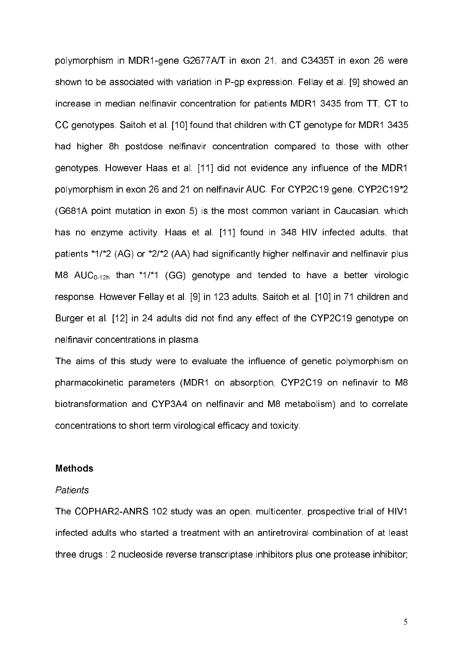polymorphism in MDR1-gene G2677A/T in exon 21, and C3435T in exon 26 were shown to be associated with variation in P-gp expression. Fellay et al. [9] showed an increase in median nelfinavir concentration for patients MDR1 3435 from TT, CT to CC genotypes. Saitoh et al. [10] found that children with CT genotype for MDR1 3435 had higher 8h postdose nelfinavir concentration compared to those with other genotypes. However Haas et al. [11] did not evidence any influence of the MDR1 polymorphism in exon 26 and 21 on nelfinavir AUC. For CYP2C19 gene, CYP2C19\*2 (G681A point mutation in exon 5) is the most common variant in Caucasian, which has no enzyme activity. Haas et al. [11] found in 348 HIV infected adults, that patients \*1/\*2 (AG) or \*2/\*2 (AA) had significantly higher nelfinavir and nelfinavir plus M8  $AUC_{0.12h}$  than \*1/\*1 (GG) genotype and tended to have a better virologic response. However Fellay et al. [9] in 123 adults, Saitoh et al. [10] in 71 children and Burger et al. [12] in 24 adults did not find any effect of the CYP2C19 genotype on nelfinavir concentrations in plasma.

The aims of this study were to evaluate the influence of genetic polymorphism on pharmacokinetic parameters (MDR1 on absorption, CYP2C19 on nefinavir to M8 biotransformation and CYP3A4 on nelfinavir and M8 metabolism) and to correlate concentrations to short term virological efficacy and toxicity.

#### **Methods**

#### Patients

The COPHAR2-ANRS 102 study was an open, multicenter, prospective trial of HIV1 infected adults who started a treatment with an antiretroviral combination of at least three drugs : 2 nucleoside reverse transcriptase inhibitors plus one protease inhibitor;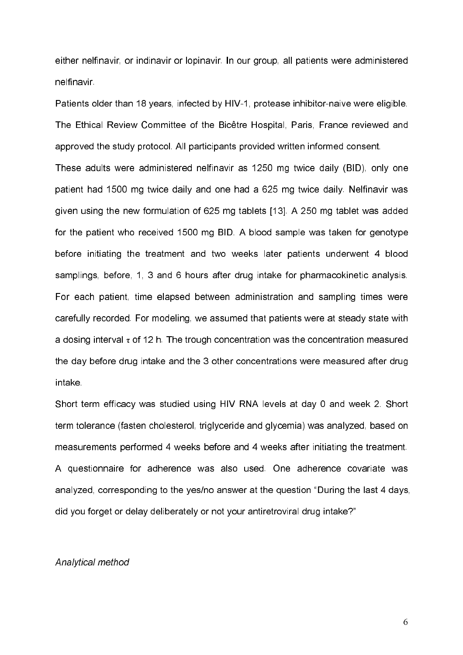either nelfinavir, or indinavir or lopinavir. In our group, all patients were administered nelfinavir.

Patients older than 18 years, infected by HIV-1, protease inhibitor-naive were eligible. The Ethical Review Committee of the Bicêtre Hospital, Paris, France reviewed and approved the study protocol. All participants provided written informed consent.

These adults were administered nelfinavir as 1250 mg twice daily (BID), only one patient had 1500 mg twice daily and one had a 625 mg twice daily. Nelfinavir was given using the new formulation of 625 mg tablets [13]. A 250 mg tablet was added for the patient who received 1500 mg BID. A blood sample was taken for genotype before initiating the treatment and two weeks later patients underwent 4 blood samplings, before, 1, 3 and 6 hours after drug intake for pharmacokinetic analysis. For each patient, time elapsed between administration and sampling times were carefully recorded. For modeling, we assumed that patients were at steady state with a dosing interval  $\tau$  of 12 h. The trough concentration was the concentration measured the day before drug intake and the 3 other concentrations were measured after drug intake.

Short term efficacy was studied using HIV RNA levels at day 0 and week 2. Short term tolerance (fasten cholesterol, triglyceride and glycemia) was analyzed, based on measurements performed 4 weeks before and 4 weeks after initiating the treatment. A questionnaire for adherence was also used. One adherence covariate was analyzed, corresponding to the yes/no answer at the question "During the last 4 days, did you forget or delay deliberately or not your antiretroviral drug intake?"

#### Analytical method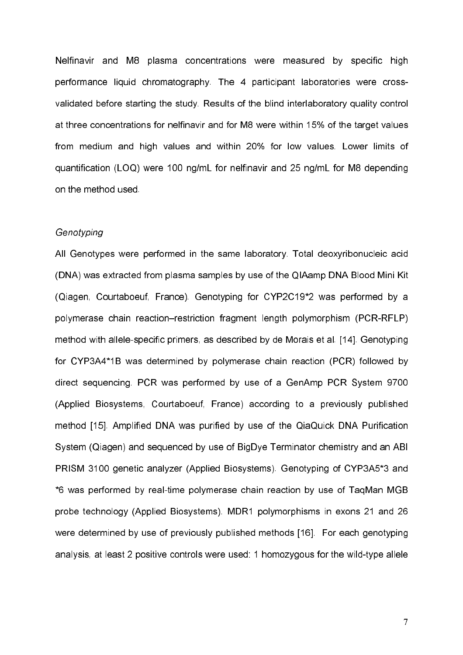Nelfinavir and M8 plasma concentrations were measured by specific high performance liquid chromatography. The 4 participant laboratories were crossvalidated before starting the study. Results of the blind interlaboratory quality control at three concentrations for nelfinavir and for M8 were within 15% of the target values from medium and high values and within 20% for low values. Lower limits of quantification (LOQ) were 100 ng/mL for nelfinavir and 25 ng/mL for M8 depending on the method used.

#### Genotyping

All Genotypes were performed in the same laboratory. Total deoxyribonucleic acid (DNA) was extracted from plasma samples by use of the QIAamp DNA Blood Mini Kit (Qiagen, Courtaboeuf, France). Genotyping for CYP2C19\*2 was performed by a polymerase chain reaction–restriction fragment length polymorphism (PCR-RFLP) method with allele-specific primers, as described by de Morais et al. [14]. Genotyping for CYP3A4\*1B was determined by polymerase chain reaction (PCR) followed by direct sequencing. PCR was performed by use of a GenAmp PCR System 9700 (Applied Biosystems, Courtaboeuf, France) according to a previously published method [15]. Amplified DNA was purified by use of the QiaQuick DNA Purification System (Qiagen) and sequenced by use of BigDye Terminator chemistry and an ABI PRISM 3100 genetic analyzer (Applied Biosystems). Genotyping of CYP3A5\*3 and \*6 was performed by real-time polymerase chain reaction by use of TaqMan MGB probe technology (Applied Biosystems). MDR1 polymorphisms in exons 21 and 26 were determined by use of previously published methods [16]. For each genotyping analysis, at least 2 positive controls were used: 1 homozygous for the wild-type allele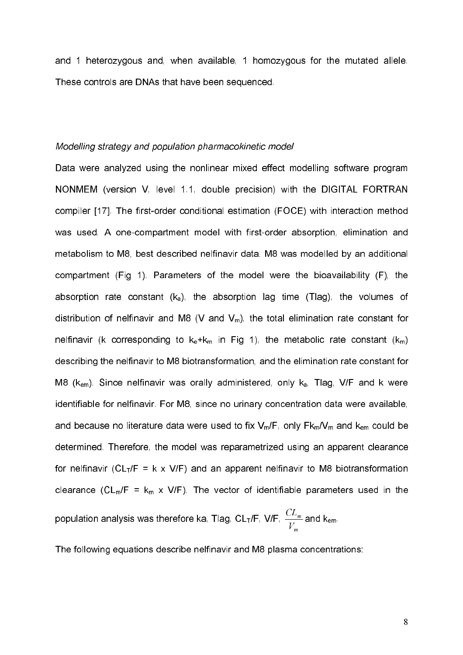and 1 heterozygous and, when available, 1 homozygous for the mutated allele. These controls are DNAs that have been sequenced.

#### Modelling strategy and population pharmacokinetic model

Data were analyzed using the nonlinear mixed effect modelling software program NONMEM (version V, level 1.1, double precision) with the DIGITAL FORTRAN compiler [17]. The first-order conditional estimation (FOCE) with interaction method was used. A one-compartment model with first-order absorption, elimination and metabolism to M8, best described nelfinavir data. M8 was modelled by an additional compartment (Fig 1). Parameters of the model were the bioavailability (F), the absorption rate constant  $(k_a)$ , the absorption lag time (Tlag), the volumes of distribution of nelfinavir and M8 (V and  $V_m$ ), the total elimination rate constant for nelfinavir (k corresponding to  $k_e + k_m$  in Fig 1), the metabolic rate constant ( $k_m$ ) describing the nelfinavir to M8 biotransformation, and the elimination rate constant for M8 ( $k_{em}$ ). Since nelfinavir was orally administered, only  $k_{a}$ , Tlag, V/F and k were identifiable for nelfinavir. For M8, since no urinary concentration data were available, and because no literature data were used to fix  $\mathsf{V}_\mathsf{m}/\mathsf{F}$ , only  $\mathsf{F}\mathsf{k}_\mathsf{m}/\mathsf{V}_\mathsf{m}$  and  $\mathsf{k}_\mathsf{em}$  could be determined. Therefore, the model was reparametrized using an apparent clearance for nelfinavir ( $CL_T/F = k \times V/F$ ) and an apparent nelfinavir to M8 biotransformation clearance (CL<sub>m</sub>/F =  $k_m \times V/F$ ). The vector of identifiable parameters used in the population analysis was therefore ka, Tlag, CL/F, V/F,  $\overline{m}$  $\overline{m}$  $\bar{V}$  $\frac{CL_m}{IL}$  and k<sub>em</sub>.

The following equations describe nelfinavir and M8 plasma concentrations: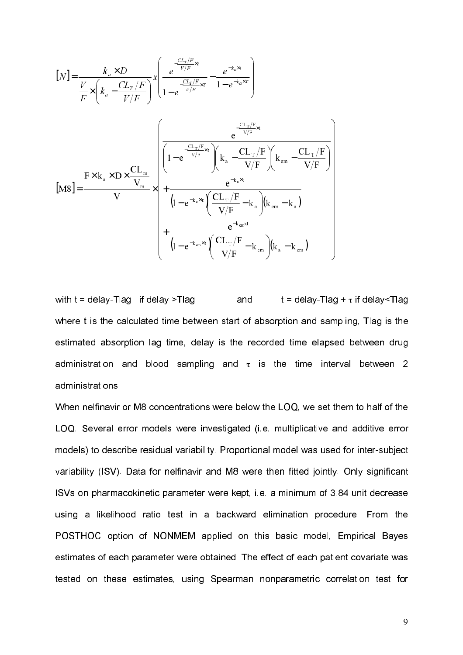$$
[N] = \frac{k_a \times D}{\frac{V}{F} \times (k_a - \frac{CL_T/F}{V/F})} \times \left(\frac{e^{-\frac{CL_T/F}{V/F} \times t}}{1 - e^{-\frac{CL_T/F}{V/F} \times t}} - \frac{e^{-k_a \times t}}{1 - e^{-k_a \times t}}\right)
$$

$$
[M8] = \frac{\left[1 - e^{-\frac{CL_T/F}{V/F} \times t}}{1 - e^{-\frac{CL_T/F}{V/F} \times t}}\right] \times \left[1 - e^{-\frac{CL_T/F}{V/F} \times t}}\right] \times \left[1 - e^{-\frac{CL_T/F}{V/F} \times t}}{1 - e^{-k_a \times t}}\right] \times \left[1 - e^{-k_a \times t} \times \left(\frac{CL_T/F}{V/F} - k_a\right) (k_{em} - k_a)\right]
$$

$$
+ \frac{e^{-k_{em} \times t}}{(1 - e^{-k_m \times t})} \left(\frac{CL_T/F}{V/F} - k_a\right) (k_{em} - k_{em})}
$$

with t = delay-Tlag if delay >Tlag and t = delay-Tlag +  $\tau$  if delay <Tlag, where t is the calculated time between start of absorption and sampling, Tlag is the estimated absorption lag time, delay is the recorded time elapsed between drug administration and blood sampling and  $\tau$  is the time interval between 2 administrations.

When nelfinavir or M8 concentrations were below the LOQ, we set them to half of the LOQ. Several error models were investigated (i.e. multiplicative and additive error models) to describe residual variability. Proportional model was used for inter-subject variability (ISV). Data for nelfinavir and M8 were then fitted jointly. Only significant ISVs on pharmacokinetic parameter were kept, i.e. a minimum of 3.84 unit decrease using a likelihood ratio test in a backward elimination procedure. From the POSTHOC option of NONMEM applied on this basic model, Empirical Bayes estimates of each parameter were obtained. The effect of each patient covariate was tested on these estimates, using Spearman nonparametric correlation test for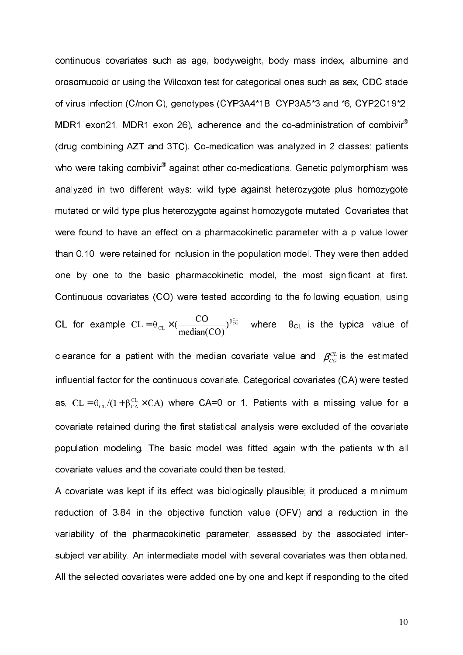continuous covariates such as age, bodyweight, body mass index, albumine and orosomucoid or using the Wilcoxon test for categorical ones such as sex, CDC stade of virus infection (C/non C), genotypes (CYP3A4\*1B, CYP3A5\*3 and \*6, CYP2C19\*2, MDR1 exon21, MDR1 exon 26), adherence and the co-administration of combivir $^{\circledR}$ (drug combining AZT and 3TC). Co-medication was analyzed in 2 classes: patients who were taking combivir $^\circ$  against other co-medications. Genetic polymorphism was analyzed in two different ways: wild type against heterozygote plus homozygote mutated or wild type plus heterozygote against homozygote mutated. Covariates that were found to have an effect on a pharmacokinetic parameter with a p value lower than 0.10, were retained for inclusion in the population model. They were then added one by one to the basic pharmacokinetic model, the most significant at first. Continuous covariates (CO) were tested according to the following equation, using

CL for example, 
$$
CL = \theta_{CL} \times (\frac{CO}{median(CO)})^{\beta_{co}^{CL}}
$$
, where  $\theta_{CL}$  is the typical value of

clearance for a patient with the median covariate value and  $\rho_{co}^{c_L}$  is the estimated influential factor for the continuous covariate. Categorical covariates (CA) were tested as,  $CL = \theta_{CL}/(1 + \beta_{CA}^{CL} \times CA)$  where CA=0 or 1. Patients with a missing value for a covariate retained during the first statistical analysis were excluded of the covariate population modeling. The basic model was fitted again with the patients with all covariate values and the covariate could then be tested.

A covariate was kept if its effect was biologically plausible; it produced a minimum reduction of 3.84 in the objective function value (OFV) and a reduction in the variability of the pharmacokinetic parameter, assessed by the associated intersubject variability. An intermediate model with several covariates was then obtained. All the selected covariates were added one by one and kept if responding to the cited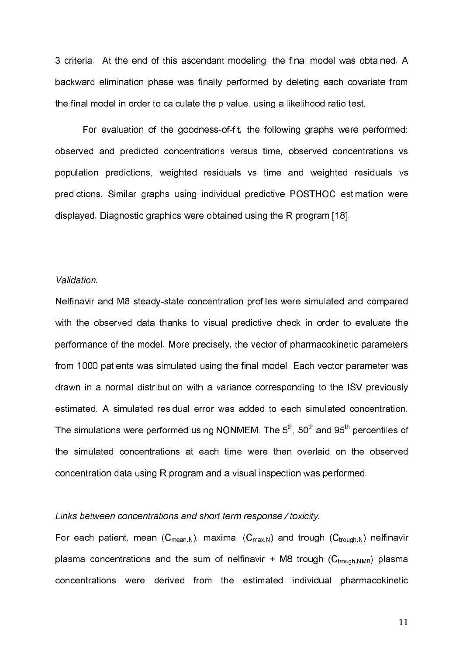3 criteria. At the end of this ascendant modeling, the final model was obtained. A backward elimination phase was finally performed by deleting each covariate from the final model in order to calculate the p value, using a likelihood ratio test.

For evaluation of the goodness-of-fit, the following graphs were performed: observed and predicted concentrations versus time, observed concentrations vs population predictions, weighted residuals vs time and weighted residuals vs predictions. Similar graphs using individual predictive POSTHOC estimation were displayed. Diagnostic graphics were obtained using the R program [18].

#### Validation.

Nelfinavir and M8 steady-state concentration profiles were simulated and compared with the observed data thanks to visual predictive check in order to evaluate the performance of the model. More precisely, the vector of pharmacokinetic parameters from 1000 patients was simulated using the final model. Each vector parameter was drawn in a normal distribution with a variance corresponding to the ISV previously estimated. A simulated residual error was added to each simulated concentration. The simulations were performed using NONMEM. The  $5<sup>th</sup>$ ,  $50<sup>th</sup>$  and  $95<sup>th</sup>$  percentiles of the simulated concentrations at each time were then overlaid on the observed concentration data using R program and a visual inspection was performed.

## Links between concentrations and short term response / toxicity.

For each patient, mean  $(C_{mean,N})$ , maximal  $(C_{max,N})$  and trough  $(C_{trough,N})$  nelfinavir plasma concentrations and the sum of nelfinavir  $+$  M8 trough ( $C_{\text{trough,NMS}}$ ) plasma concentrations were derived from the estimated individual pharmacokinetic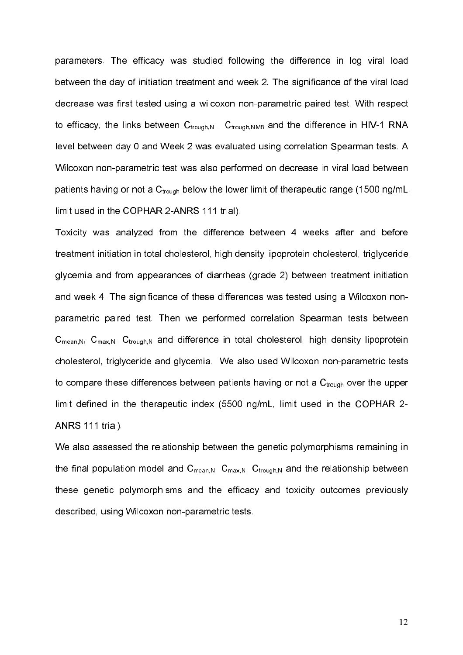parameters. The efficacy was studied following the difference in log viral load between the day of initiation treatment and week 2. The significance of the viral load decrease was first tested using a wilcoxon non-parametric paired test. With respect to efficacy, the links between  $C_{\text{trough.N}}$ ,  $C_{\text{trough.NMS}}$  and the difference in HIV-1 RNA level between day 0 and Week 2 was evaluated using correlation Spearman tests. A Wilcoxon non-parametric test was also performed on decrease in viral load between patients having or not a  $C_{\text{trough}}$  below the lower limit of therapeutic range (1500 ng/mL, limit used in the COPHAR 2-ANRS 111 trial).

Toxicity was analyzed from the difference between 4 weeks after and before treatment initiation in total cholesterol, high density lipoprotein cholesterol, triglyceride, glycemia and from appearances of diarrheas (grade 2) between treatment initiation and week 4. The significance of these differences was tested using a Wilcoxon nonparametric paired test. Then we performed correlation Spearman tests between  $C_{\text{mean,N}}$ ,  $C_{\text{max,N}}$ ,  $C_{\text{trough,N}}$  and difference in total cholesterol, high density lipoprotein cholesterol, triglyceride and glycemia. We also used Wilcoxon non-parametric tests to compare these differences between patients having or not a  $C_{\text{trough}}$  over the upper limit defined in the therapeutic index  $(5500 \text{ ng/mL})$  limit used in the COPHAR 2-ANRS 111 trial).

We also assessed the relationship between the genetic polymorphisms remaining in the final population model and  $C_{mean,N}$ ,  $C_{max,N}$ ,  $C_{trough,N}$  and the relationship between these genetic polymorphisms and the efficacy and toxicity outcomes previously described, using Wilcoxon non-parametric tests.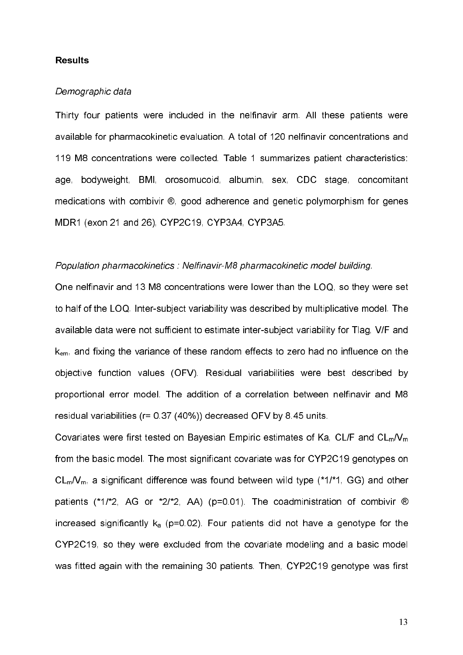## **Results**

## Demographic data

Thirty four patients were included in the nelfinavir arm. All these patients were available for pharmacokinetic evaluation. A total of 120 nelfinavir concentrations and 119 M8 concentrations were collected. Table 1 summarizes patient characteristics: age, bodyweight, BMI, orosomucoid, albumin, sex, CDC stage, concomitant medications with combivir ®, good adherence and genetic polymorphism for genes MDR1 (exon 21 and 26), CYP2C19, CYP3A4, CYP3A5.

## Population pharmacokinetics : Nelfinavir-M8 pharmacokinetic model building.

One nelfinavir and 13 M8 concentrations were lower than the LOQ, so they were set to half of the LOQ. Inter-subject variability was described by multiplicative model. The available data were not sufficient to estimate inter-subject variability for Tlag, V/F and k<sub>em</sub>, and fixing the variance of these random effects to zero had no influence on the objective function values (OFV). Residual variabilities were best described by proportional error model. The addition of a correlation between nelfinavir and M8 residual variabilities (r= 0.37 (40%)) decreased OFV by 8.45 units.

Covariates were first tested on Bayesian Empiric estimates of Ka, CL/F and  $CL_m/V_m$ from the basic model. The most significant covariate was for CYP2C19 genotypes on  $CL_m/V_m$ , a significant difference was found between wild type (\*1/\*1, GG) and other patients (\*1/\*2, AG or \*2/\*2, AA) (p=0.01). The coadministration of combivir ® increased significantly  $k_a$  (p=0.02). Four patients did not have a genotype for the CYP2C19, so they were excluded from the covariate modeling and a basic model was fitted again with the remaining 30 patients. Then, CYP2C19 genotype was first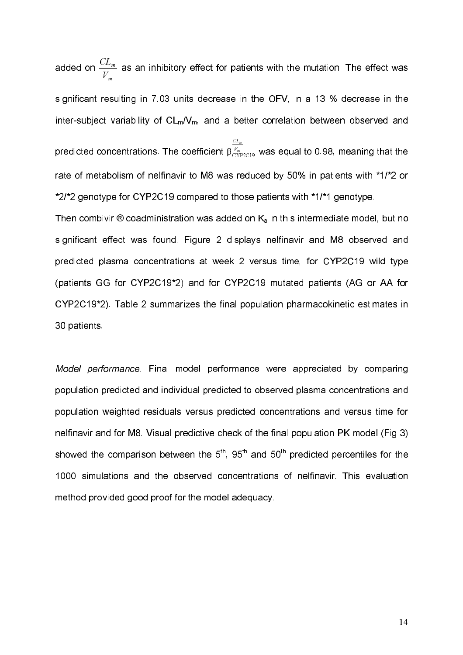added on  $\overline{m}$  $\overline{m}$  $\bar{V}$  $\frac{CL_{m}}{II}$  as an inhibitory effect for patients with the mutation. The effect was significant resulting in 7.03 units decrease in the OFV, in a 13 % decrease in the inter-subject variability of  $CL_m/V_m$ , and a better correlation between observed and predicted concentrations. The coefficient  $\beta_{\rm CY}^{\; \nu_m}$  $\frac{L_m}{V_m}$  $CL$  $\beta\frac{\nu_{m}}{\exp{2{\rm crps}}}$  was equal to 0.98, meaning that the rate of metabolism of nelfinavir to M8 was reduced by 50% in patients with \*1/\*2 or \*2/\*2 genotype for CYP2C19 compared to those patients with \*1/\*1 genotype. Then combivir  $\mathcal D$  coadministration was added on  $K_a$  in this intermediate model, but no significant effect was found. Figure 2 displays nelfinavir and M8 observed and predicted plasma concentrations at week 2 versus time, for CYP2C19 wild type (patients GG for CYP2C19\*2) and for CYP2C19 mutated patients (AG or AA for CYP2C19\*2). Table 2 summarizes the final population pharmacokinetic estimates in 30 patients.

Model performance. Final model performance were appreciated by comparing population predicted and individual predicted to observed plasma concentrations and population weighted residuals versus predicted concentrations and versus time for nelfinavir and for M8. Visual predictive check of the final population PK model (Fig 3) showed the comparison between the  $5<sup>th</sup>$ , 95<sup>th</sup> and 50<sup>th</sup> predicted percentiles for the 1000 simulations and the observed concentrations of nelfinavir. This evaluation method provided good proof for the model adequacy.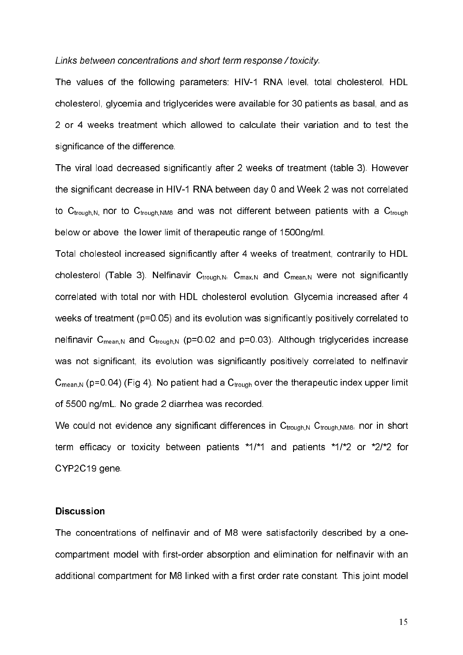## Links between concentrations and short term response / toxicity.

The values of the following parameters: HIV-1 RNA level, total cholesterol, HDL cholesterol, glycemia and triglycerides were available for 30 patients as basal, and as 2 or 4 weeks treatment which allowed to calculate their variation and to test the significance of the difference.

The viral load decreased significantly after 2 weeks of treatment (table 3). However the significant decrease in HIV-1 RNA between day 0 and Week 2 was not correlated to  $C_{trough,N}$  nor to  $C_{trough,NMS}$  and was not different between patients with a  $C_{trough}$ below or above the lower limit of therapeutic range of 1500ng/ml.

Total cholesteol increased significantly after 4 weeks of treatment, contrarily to HDL cholesterol (Table 3). Nelfinavir  $C_{\text{trough,N}}, C_{\text{max,N}}$  and  $C_{\text{mean,N}}$  were not significantly correlated with total nor with HDL cholesterol evolution. Glycemia increased after 4 weeks of treatment (p=0.05) and its evolution was significantly positively correlated to nelfinavir C<sub>mean,N</sub> and C<sub>trough,N</sub> (p=0.02 and p=0.03). Although triglycerides increase was not significant, its evolution was significantly positively correlated to nelfinavir  $C_{\text{mean,N}}$  (p=0.04) (Fig 4). No patient had a  $C_{\text{trough}}$  over the therapeutic index upper limit of 5500 ng/mL. No grade 2 diarrhea was recorded.

We could not evidence any significant differences in  $C_{\text{trough.N}} C_{\text{trough.NMS}}$ , nor in short term efficacy or toxicity between patients \*1/\*1 and patients \*1/\*2 or \*2/\*2 for CYP2C19 gene.

## **Discussion**

The concentrations of nelfinavir and of M8 were satisfactorily described by a onecompartment model with first-order absorption and elimination for nelfinavir with an additional compartment for M8 linked with a first order rate constant. This joint model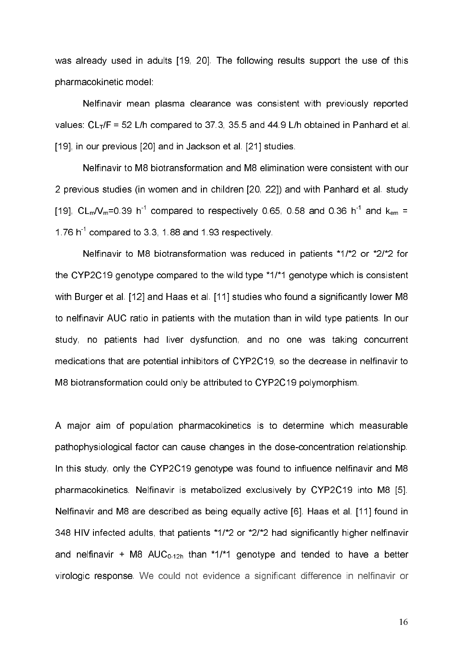was already used in adults [19, 20]. The following results support the use of this pharmacokinetic model:

Nelfinavir mean plasma clearance was consistent with previously reported values:  $CL_T/F = 52$  L/h compared to 37.3, 35.5 and 44.9 L/h obtained in Panhard et al. [19], in our previous [20] and in Jackson et al. [21] studies.

Nelfinavir to M8 biotransformation and M8 elimination were consistent with our 2 previous studies (in women and in children [20, 22]) and with Panhard et al. study [19],  $CL_m/V_m=0.39$  h<sup>-1</sup> compared to respectively 0.65, 0.58 and 0.36 h<sup>-1</sup> and k<sub>em</sub> = 1.76 h<sup>1</sup> compared to 3.3, 1.88 and 1.93 respectively.

Nelfinavir to M8 biotransformation was reduced in patients \*1/\*2 or \*2/\*2 for the CYP2C19 genotype compared to the wild type \*1/\*1 genotype which is consistent with Burger et al. [12] and Haas et al. [11] studies who found a significantly lower M8 to nelfinavir AUC ratio in patients with the mutation than in wild type patients. In our study, no patients had liver dysfunction, and no one was taking concurrent medications that are potential inhibitors of CYP2C19, so the decrease in nelfinavir to M8 biotransformation could only be attributed to CYP2C19 polymorphism.

A major aim of population pharmacokinetics is to determine which measurable pathophysiological factor can cause changes in the dose-concentration relationship. In this study, only the CYP2C19 genotype was found to influence nelfinavir and M8 pharmacokinetics. Nelfinavir is metabolized exclusively by CYP2C19 into M8 [5]. Nelfinavir and M8 are described as being equally active [6]. Haas et al. [11] found in 348 HIV infected adults, that patients \*1/\*2 or \*2/\*2 had significantly higher nelfinavir and nelfinavir + M8  $AUC_{0.12h}$  than \*1/\*1 genotype and tended to have a better virologic response. We could not evidence a significant difference in nelfinavir or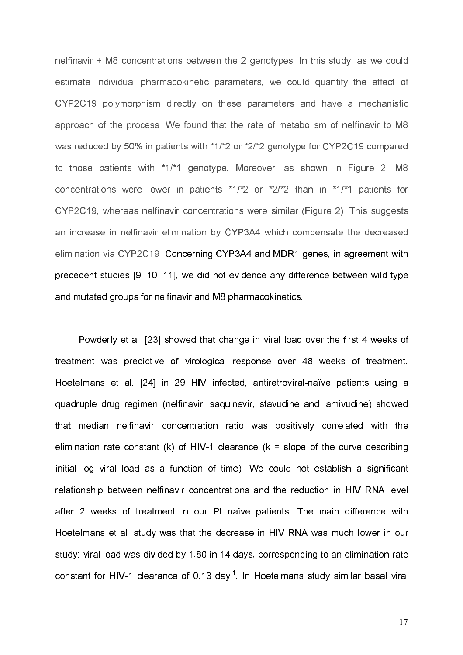nelfinavir + M8 concentrations between the 2 genotypes. In this study, as we could estimate individual pharmacokinetic parameters, we could quantify the effect of CYP2C19 polymorphism directly on these parameters and have a mechanistic approach of the process. We found that the rate of metabolism of nelfinavir to M8 was reduced by 50% in patients with \*1/\*2 or \*2/\*2 genotype for CYP2C19 compared to those patients with \*1/\*1 genotype. Moreover, as shown in Figure 2, M8 concentrations were lower in patients \*1/\*2 or \*2/\*2 than in \*1/\*1 patients for CYP2C19, whereas nelfinavir concentrations were similar (Figure 2). This suggests an increase in nelfinavir elimination by CYP3A4 which compensate the decreased elimination via CYP2C19. Concerning CYP3A4 and MDR1 genes, in agreement with precedent studies [9, 10, 11], we did not evidence any difference between wild type and mutated groups for nelfinavir and M8 pharmacokinetics.

 Powderly et al. [23] showed that change in viral load over the first 4 weeks of treatment was predictive of virological response over 48 weeks of treatment. Hoetelmans et al. [24] in 29 HIV infected, antiretroviral-naïve patients using a quadruple drug regimen (nelfinavir, saquinavir, stavudine and lamivudine) showed that median nelfinavir concentration ratio was positively correlated with the elimination rate constant (k) of HIV-1 clearance ( $k = slope$  of the curve describing initial log viral load as a function of time). We could not establish a significant relationship between nelfinavir concentrations and the reduction in HIV RNA level after 2 weeks of treatment in our PI naïve patients. The main difference with Hoetelmans et al. study was that the decrease in HIV RNA was much lower in our study: viral load was divided by 1.80 in 14 days, corresponding to an elimination rate constant for HIV-1 clearance of 0.13 day<sup>1</sup>. In Hoetelmans study similar basal viral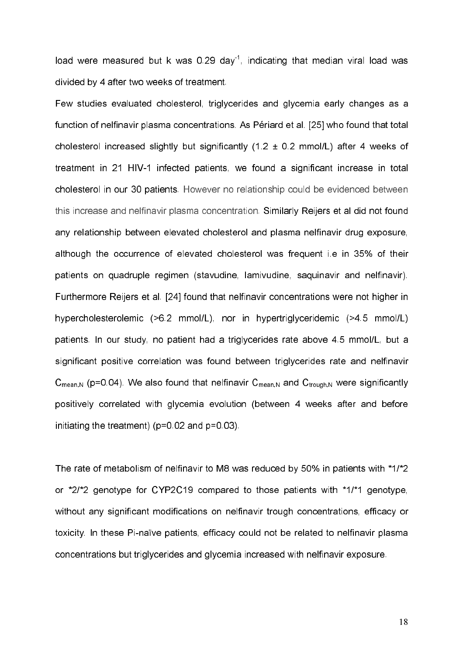load were measured but k was  $0.29$  day<sup>-1</sup>, indicating that median viral load was divided by 4 after two weeks of treatment.

Few studies evaluated cholesterol, triglycerides and glycemia early changes as a function of nelfinavir plasma concentrations. As Périard et al. [25] who found that total cholesterol increased slightly but significantly  $(1.2 \pm 0.2 \text{ mmol/L})$  after 4 weeks of treatment in 21 HIV-1 infected patients, we found a significant increase in total cholesterol in our 30 patients. However no relationship could be evidenced between this increase and nelfinavir plasma concentration. Similarly Reijers et al did not found any relationship between elevated cholesterol and plasma nelfinavir drug exposure, although the occurrence of elevated cholesterol was frequent i.e in 35% of their patients on quadruple regimen (stavudine, lamivudine, saquinavir and nelfinavir). Furthermore Reijers et al. [24] found that nelfinavir concentrations were not higher in hypercholesterolemic (>6.2 mmol/L), nor in hypertriglyceridemic (>4.5 mmol/L) patients. In our study, no patient had a triglycerides rate above 4.5 mmol/L, but a significant positive correlation was found between triglycerides rate and nelfinavir  $C_{\text{mean,N}}$  (p=0.04). We also found that nelfinavir  $C_{\text{mean,N}}$  and  $C_{\text{trough,N}}$  were significantly positively correlated with glycemia evolution (between 4 weeks after and before initiating the treatment) (p=0.02 and p=0.03).

The rate of metabolism of nelfinavir to M8 was reduced by 50% in patients with \*1/\*2 or \*2/\*2 genotype for CYP2C19 compared to those patients with \*1/\*1 genotype, without any significant modifications on nelfinavir trough concentrations, efficacy or toxicity. In these Pi-naïve patients, efficacy could not be related to nelfinavir plasma concentrations but triglycerides and glycemia increased with nelfinavir exposure.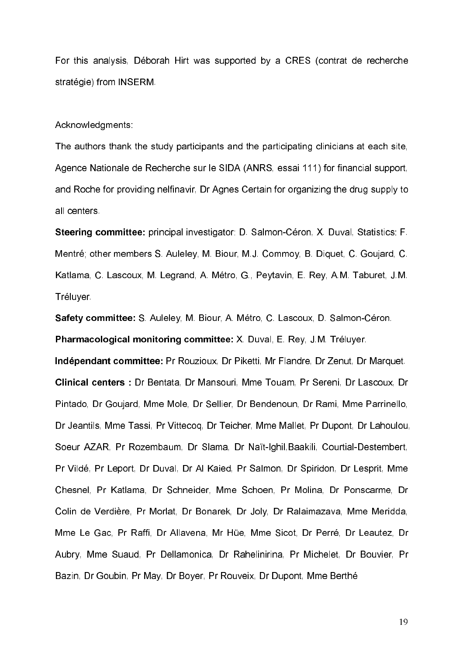For this analysis, Déborah Hirt was supported by a CRES (contrat de recherche stratégie) from INSERM.

#### Acknowledgments:

The authors thank the study participants and the participating clinicians at each site, Agence Nationale de Recherche sur le SIDA (ANRS, essai 111) for financial support, and Roche for providing nelfinavir, Dr Agnes Certain for organizing the drug supply to all centers.

Steering committee: principal investigator: D. Salmon-Céron, X. Duval, Statistics: F. Mentré; other members S. Auleley, M. Biour, M.J. Commoy, B. Diquet, C. Goujard, C. Katlama, C. Lascoux, M. Legrand, A. Métro, G., Peytavin, E. Rey, A.M. Taburet, J.M. Tréluyer.

Safety committee: S. Auleley, M. Biour, A. Métro, C. Lascoux, D. Salmon-Céron. Pharmacological monitoring committee: X. Duval, E. Rey, J.M. Tréluyer.

Indépendant committee: Pr Rouzioux, Dr Piketti, Mr Flandre, Dr Zenut, Dr Marquet. Clinical centers : Dr Bentata, Dr Mansouri, Mme Touam, Pr Sereni, Dr Lascoux, Dr Pintado, Dr Goujard, Mme Mole, Dr Sellier, Dr Bendenoun, Dr Rami, Mme Parrinello, Dr Jeantils, Mme Tassi, Pr Vittecoq, Dr Teicher, Mme Mallet, Pr Dupont, Dr Lahoulou, Soeur AZAR, Pr Rozembaum, Dr Slama, Dr Naït-Ighil, Baakili, Courtial-Destembert, Pr Vildé, Pr Leport, Dr Duval, Dr Al Kaied, Pr Salmon, Dr Spiridon, Dr Lesprit, Mme Chesnel, Pr Katlama, Dr Schneider, Mme Schoen, Pr Molina, Dr Ponscarme, Dr Colin de Verdière, Pr Morlat, Dr Bonarek, Dr Joly, Dr Ralaimazava, Mme Meridda, Mme Le Gac, Pr Raffi, Dr Allavena, Mr Hüe, Mme Sicot, Dr Perré, Dr Leautez, Dr Aubry, Mme Suaud, Pr Dellamonica, Dr Rahelinirina, Pr Michelet, Dr Bouvier, Pr Bazin, Dr Goubin, Pr May, Dr Boyer, Pr Rouveix, Dr Dupont, Mme Berthé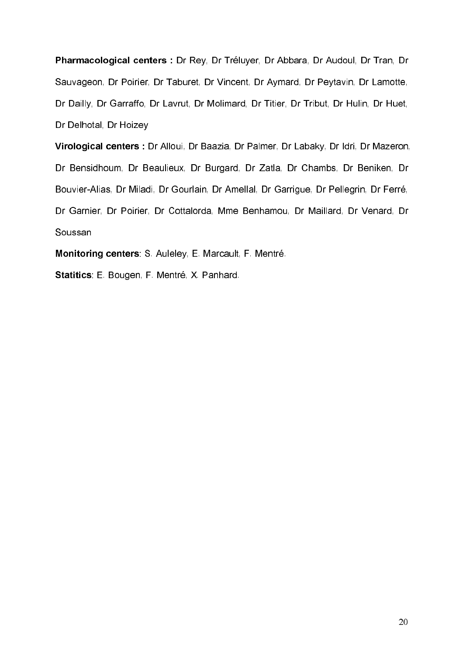Pharmacological centers : Dr Rey, Dr Tréluyer, Dr Abbara, Dr Audoul, Dr Tran, Dr Sauvageon, Dr Poirier, Dr Taburet, Dr Vincent, Dr Aymard, Dr Peytavin, Dr Lamotte, Dr Dailly, Dr Garraffo, Dr Lavrut, Dr Molimard, Dr Titier, Dr Tribut, Dr Hulin, Dr Huet, Dr Delhotal, Dr Hoizey

Virological centers : Dr Alloui, Dr Baazia, Dr Palmer, Dr Labaky, Dr Idri, Dr Mazeron, Dr Bensidhoum, Dr Beaulieux, Dr Burgard, Dr Zatla, Dr Chambs, Dr Beniken, Dr Bouvier-Alias, Dr Miladi, Dr Gourlain, Dr Amellal, Dr Garrigue, Dr Pellegrin, Dr Ferré, Dr Garnier, Dr Poirier, Dr Cottalorda, Mme Benhamou, Dr Maillard, Dr Venard, Dr Soussan

Monitoring centers: S. Auleley, E. Marcault, F. Mentré.

Statitics: E. Bougen, F. Mentré, X. Panhard.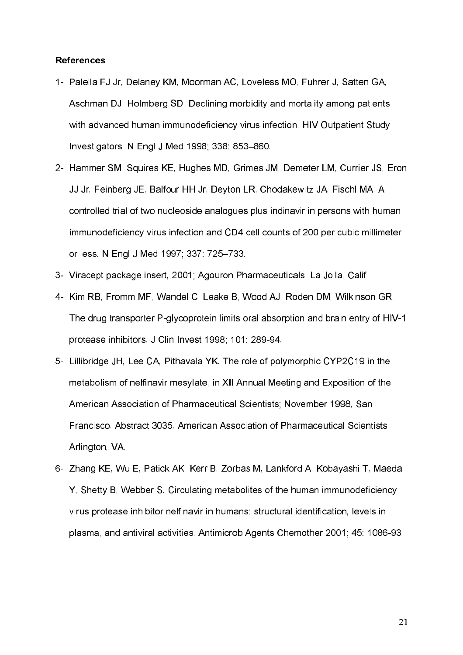## **References**

- 1- Palella FJ Jr, Delaney KM, Moorman AC, Loveless MO, Fuhrer J, Satten GA, Aschman DJ, Holmberg SD. Declining morbidity and mortality among patients with advanced human immunodeficiency virus infection. HIV Outpatient Study Investigators. N Engl J Med 1998; 338: 853–860.
- 2- Hammer SM, Squires KE, Hughes MD, Grimes JM, Demeter LM, Currier JS, Eron JJ Jr, Feinberg JE, Balfour HH Jr, Deyton LR, Chodakewitz JA, Fischl MA. A controlled trial of two nucleoside analogues plus indinavir in persons with human immunodeficiency virus infection and CD4 cell counts of 200 per cubic millimeter or less. N Engl J Med 1997; 337: 725–733.
- 3- Viracept package insert, 2001; Agouron Pharmaceuticals, La Jolla, Calif
- 4- Kim RB, Fromm MF, Wandel C, Leake B, Wood AJ, Roden DM, Wilkinson GR. The drug transporter P-glycoprotein limits oral absorption and brain entry of HIV-1 protease inhibitors. J Clin Invest 1998; 101: 289-94.
- 5- Lillibridge JH, Lee CA, Pithavala YK. The role of polymorphic CYP2C19 in the metabolism of nelfinavir mesylate, in XII Annual Meeting and Exposition of the American Association of Pharmaceutical Scientists; November 1998, San Francisco. Abstract 3035. American Association of Pharmaceutical Scientists, Arlington, VA.
- 6" Zhang KE, Wu E, Patick AK, Kerr B, Zorbas M, Lankford A, Kobayashi T, Maeda Y, Shetty B, Webber S. Circulating metabolites of the human immunodeficiency virus protease inhibitor nelfinavir in humans: structural identification, levels in plasma, and antiviral activities. Antimicrob Agents Chemother 2001; 45: 1086-93.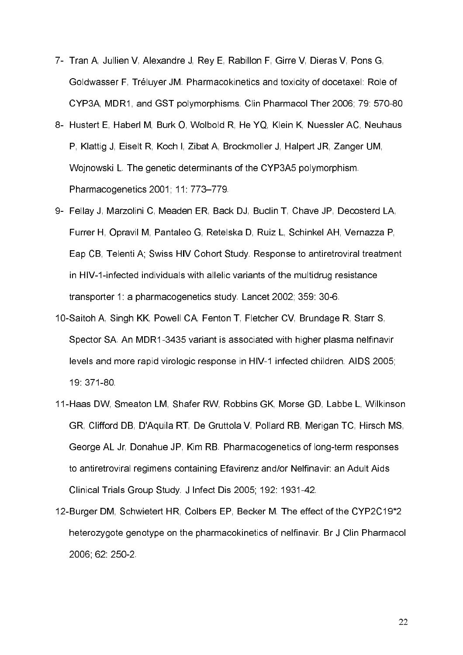- 7- Tran A, Jullien V, Alexandre J, Rey E, Rabillon F, Girre V, Dieras V, Pons G, Goldwasser F, Tréluyer JM. Pharmacokinetics and toxicity of docetaxel: Role of CYP3A, MDR1, and GST polymorphisms. Clin Pharmacol Ther 2006; 79: 570-80
- 8- Hustert E, Haberl M, Burk O, Wolbold R, He YQ, Klein K, Nuessler AC, Neuhaus P, Klattig J, Eiselt R, Koch I, Zibat A, Brockmoller J, Halpert JR, Zanger UM, Wojnowski L. The genetic determinants of the CYP3A5 polymorphism. Pharmacogenetics 2001; 11: 773–779.
- 9- Fellay J, Marzolini C, Meaden ER, Back DJ, Buclin T, Chave JP, Decosterd LA, Furrer H, Opravil M, Pantaleo G, Retelska D, Ruiz L, Schinkel AH, Vernazza P, Eap CB, Telenti A; Swiss HIV Cohort Study. Response to antiretroviral treatment in HIV-1-infected individuals with allelic variants of the multidrug resistance transporter 1: a pharmacogenetics study. Lancet 2002; 359: 30-6.
- 10-Saitoh A, Singh KK, Powell CA, Fenton T, Fletcher CV, Brundage R, Starr S, Spector SA. An MDR1-3435 variant is associated with higher plasma nelfinavir levels and more rapid virologic response in HIV-1 infected children. AIDS 2005; 19: 371-80.
- 11-Haas DW, Smeaton LM, Shafer RW, Robbins GK, Morse GD, Labbe L, Wilkinson GR, Clifford DB, D'Aquila RT, De Gruttola V, Pollard RB, Merigan TC, Hirsch MS, George AL Jr, Donahue JP, Kim RB. Pharmacogenetics of long-term responses to antiretroviral regimens containing Efavirenz and/or Nelfinavir: an Adult Aids Clinical Trials Group Study. J Infect Dis 2005; 192: 1931-42.
- 12-Burger DM, Schwietert HR, Colbers EP, Becker M. The effect of the CYP2C19\*2 heterozygote genotype on the pharmacokinetics of nelfinavir. Br J Clin Pharmacol 2006; 62: 250"2.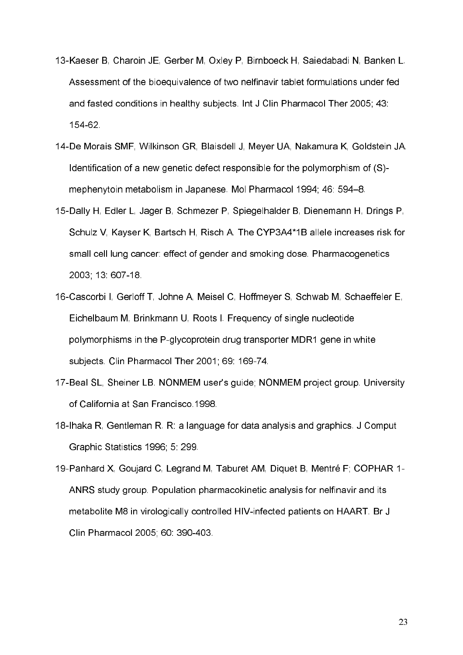- 13- Kaeser B, Charoin JE, Gerber M, Oxley P, Birnboeck H, Saiedabadi N, Banken L. Assessment of the bioequivalence of two nelfinavir tablet formulations under fed and fasted conditions in healthy subjects. Int J Clin Pharmacol Ther 2005; 43: 154 62.
- 14" De Morais SMF, Wilkinson GR, Blaisdell J, Meyer UA, Nakamura K, Goldstein JA. Identification of a new genetic defect responsible for the polymorphism of  $(S)$ mephenytoin metabolism in Japanese. Mol Pharmacol 1994; 46: 594–8.
- 15- Dally H, Edler L, Jager B, Schmezer P, Spiegelhalder B, Dienemann H, Drings P, Schulz V, Kayser K, Bartsch H, Risch A. The CYP3A4\*1B allele increases risk for small cell lung cancer: effect of gender and smoking dose. Pharmacogenetics 2003 13: 607-18.
- 16- Cascorbi I, Gerloff T, Johne A, Meisel C, Hoffmeyer S, Schwab M, Schaeffeler E, Eichelbaum M, Brinkmann U, Roots I. Frequency of single nucleotide polymorphisms in the P-glycoprotein drug transporter MDR1 gene in white subjects. Clin Pharmacol Ther 2001; 69: 169-74.
- 17-Beal SL, Sheiner LB. NONMEM user's guide; NONMEM project group. University of California at San Francisco.1998.
- 18- Ihaka R, Gentleman R, R; a language for data analysis and graphics. J Comput Graphic Statistics 1996; 5: 299.
- 19- Panhard X, Goujard C, Legrand M, Taburet AM, Diquet B, Mentré F; COPHAR 1-ANRS study group. Population pharmacokinetic analysis for nelfinavir and its metabolite M8 in virologically controlled HIV-infected patients on HAART. Br J Clin Pharmacol 2005; 60: 390-403.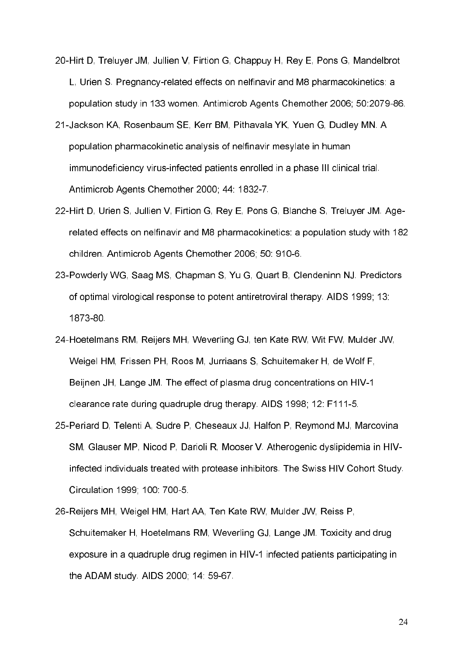- 20- Hirt D, Treluyer JM, Jullien V, Firtion G, Chappuy H, Rey E, Pons G, Mandelbrot L, Urien S. Pregnancy-related effects on nelfinavir and M8 pharmacokinetics: a population study in 133 women. Antimicrob Agents Chemother 2006; 50:2079-86.
- 21-Jackson KA, Rosenbaum SE, Kerr BM, Pithavala YK, Yuen G, Dudley MN. A population pharmacokinetic analysis of nelfinavir mesylate in human immunodeficiency virus-infected patients enrolled in a phase III clinical trial. Antimicrob Agents Chemother 2000, 44: 1832-7.
- 22- Hirt D, Urien S, Jullien V, Firtion G, Rey E, Pons G, Blanche S, Treluyer JM, Agerelated effects on nelfinavir and M8 pharmacokinetics: a population study with 182 children. Antimicrob Agents Chemother 2006; 50: 910-6.
- 23- Powderly WG, Saag MS, Chapman S, Yu G, Quart B, Clendeninn NJ. Predictors of optimal virological response to potent antiretroviral therapy. AIDS 1999; 13: 1873-80.
- 24- Hoetelmans RM, Reijers MH, Weverling GJ, ten Kate RW, Wit FW, Mulder JW, Weigel HM, Frissen PH, Roos M, Jurriaans S, Schuitemaker H, de Wolf F, Beijnen JH, Lange JM. The effect of plasma drug concentrations on HIV-1 clearance rate during quadruple drug therapy. AIDS 1998; 12: F111-5.
- 25- Periard D, Telenti A, Sudre P, Cheseaux JJ, Halfon P, Reymond MJ, Marcovina SM, Glauser MP, Nicod P, Darioli R, Mooser V. Atherogenic dyslipidemia in HIVinfected individuals treated with protease inhibitors. The Swiss HIV Cohort Study. Circulation 1999; 100: 700-5.
- 26- Reijers MH, Weigel HM, Hart AA, Ten Kate RW, Mulder JW, Reiss P, Schuitemaker H, Hoetelmans RM, Weverling GJ, Lange JM. Toxicity and drug exposure in a quadruple drug regimen in HIV-1 infected patients participating in the ADAM study. AIDS 2000; 14: 59-67.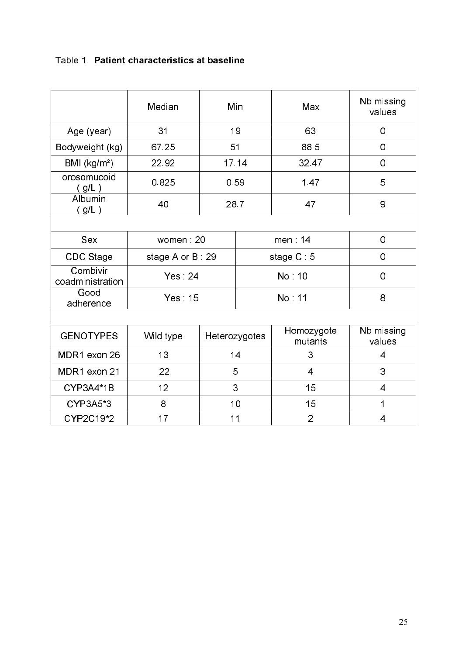|                              | Median           | Min           |           | Max                   | Nb missing<br>values |  |  |  |  |
|------------------------------|------------------|---------------|-----------|-----------------------|----------------------|--|--|--|--|
| Age (year)                   | 31               | 19            |           | 63                    | 0                    |  |  |  |  |
| Bodyweight (kg)              | 67 25            | 51            |           | 88.5                  | 0                    |  |  |  |  |
| BMI $(kg/m2)$                | 22 92            | 17 14         |           | 32 47                 | 0                    |  |  |  |  |
| orosomucoid<br>(g/L)         | 0825             | 0.59          |           | 147                   | 5                    |  |  |  |  |
| Albumin<br>(g/L)             | 40               | 28.7          |           | 47                    | 9                    |  |  |  |  |
|                              |                  |               |           |                       |                      |  |  |  |  |
| Sex                          | women 20         |               | men 14    |                       | 0                    |  |  |  |  |
| <b>CDC</b> Stage             | stage A or B: 29 |               | stage C 5 |                       | 0                    |  |  |  |  |
| Combivir<br>coadministration | Yes 24           |               | No 10     |                       | 0                    |  |  |  |  |
| Good<br>adherence            | Yes 15           |               | No 11     |                       | 8                    |  |  |  |  |
|                              |                  |               |           |                       |                      |  |  |  |  |
| <b>GENOTYPES</b>             | Wild type        | Heterozygotes |           | Homozygote<br>mutants | Nb missing<br>values |  |  |  |  |
| MDR1 exon 26                 | 13               | 14            |           | 3                     | 4                    |  |  |  |  |
| MDR1 exon 21                 | 22               | 5             |           | 4                     | 3                    |  |  |  |  |
| CYP3A4*1B                    | 12               | 3             |           | 15                    | 4                    |  |  |  |  |
| CYP3A5*3                     | 8                | 10            |           | 15                    | 1                    |  |  |  |  |
| CYP2C19*2                    | 17               | 11            |           | $\overline{2}$        | $\overline{4}$       |  |  |  |  |

## Table 1. Patient characteristics at baseline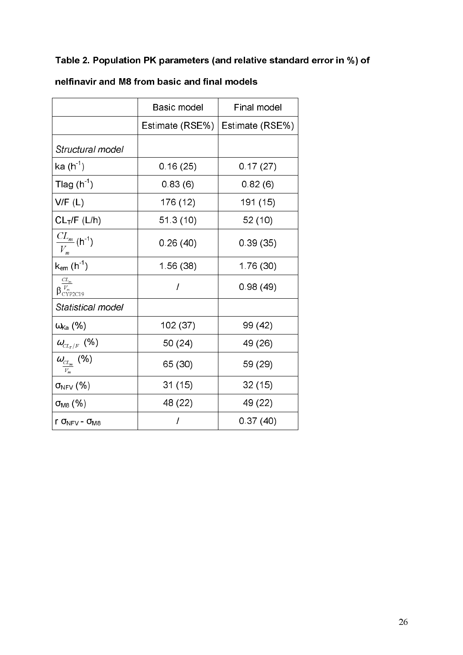## Table 2. Population PK parameters (and relative standard error in %) of

|                                                           | Basic model     | Final model     |  |  |
|-----------------------------------------------------------|-----------------|-----------------|--|--|
|                                                           | Estimate (RSE%) | Estimate (RSE%) |  |  |
| Structural model                                          |                 |                 |  |  |
| ka (h $^1$ )                                              | 0.16(25)        | 0.17(27)        |  |  |
| Tlag (h $^1$ )                                            | 0.83(6)         | 0.82(6)         |  |  |
| V/F(L)                                                    | 176 (12)        | 191 (15)        |  |  |
| $CL_T/F (L/h)$                                            | 51 3 (10)       | 52 (10)         |  |  |
| $\frac{CL_m}{I}$ (h <sup>-1</sup> )<br>$V_{m}$            | 0.26(40)        | 0.39(35)        |  |  |
| $\mathsf{k}_{\mathsf{em}}$ (h $^1)$                       | 1 56 (38)       | 1 76 (30)       |  |  |
| $CL_m\!\;$<br>$\beta_{\text{CYP2C19}}^{V_m}$              | I               | 0.98(49)        |  |  |
| Statistical model                                         |                 |                 |  |  |
| $\omega_{\text{Ka}}$ (%)                                  | 102 (37)        | 99 (42)         |  |  |
| $\omega_{\scriptscriptstyle CL_T/F}$ (%)                  | 50 (24)         | 49 (26)         |  |  |
| $\omega_{\text{\tiny CL}_m}$ (%)<br>$V_m$                 | 65 (30)         | 59 (29)         |  |  |
| $\sigma_\mathsf{NFV} \left( \text{\%} \right)$            | 31(15)          | 32(15)          |  |  |
| $\sigma$ <sub>M8</sub> $(%)$                              | 48 (22)         | 49 (22)         |  |  |
| $\Gamma$ $\sigma$ <sub>NFV</sub> - $\sigma$ <sub>M8</sub> | I               | 0.37(40)        |  |  |
|                                                           |                 |                 |  |  |

#### nelfinavir and M8 from basic and final models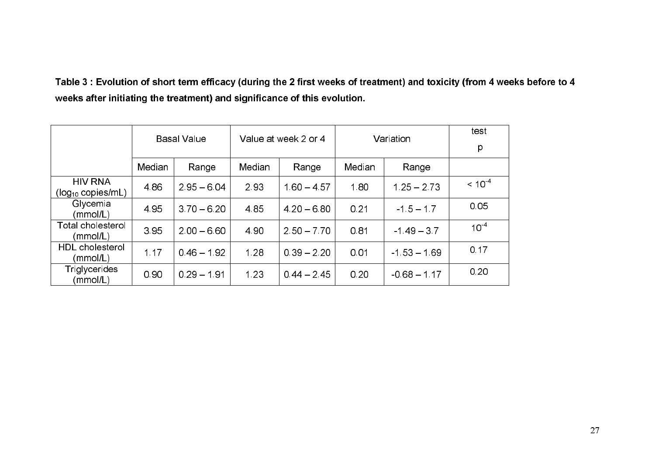Table 3 : Evolution of short term efficacy (during the 2 first weeks of treatment) and toxicity (from 4 weeks before to 4 weeks after initiating the treatment) and significance of this evolution.

|                                          | <b>Basal Value</b> |               | Value at week 2 or 4 |               | Variation |                | test        |
|------------------------------------------|--------------------|---------------|----------------------|---------------|-----------|----------------|-------------|
|                                          |                    |               |                      |               |           |                | p           |
|                                          | Median             | Range         | Median               | Range         | Median    | Range          |             |
| <b>HIV RNA</b><br>$(log_{10}$ copies/mL) | 486                | $295 - 604$   | 293                  | $160 - 457$   | 1.80      | $125 - 273$    | $< 10^{-4}$ |
| Glycemia<br>(mmol/L)                     | 495                | $370 - 620$   | 485                  | $420 - 680$   | 0.21      | $-1, 5 - 1, 7$ | 0.05        |
| Total cholesterol<br>(mmol/L)            | 395                | $2.00 - 6.60$ | 4.90                 | $250 - 770$   | 0.81      | $-1$ 49 $-37$  | $10^{4}$    |
| <b>HDL</b> cholesterol<br>(mmol/L)       | 117                | $0.46 - 1.92$ | 1.28                 | $0.39 - 2.20$ | 0.01      | $-1,53 - 1,69$ | 0.17        |
| <b>Triglycerides</b><br>(mmol/L)         | 0.90               | $0.29 - 1.91$ | 1.23                 | $0.44 - 2.45$ | 0.20      | $-0.68 - 1.17$ | 0.20        |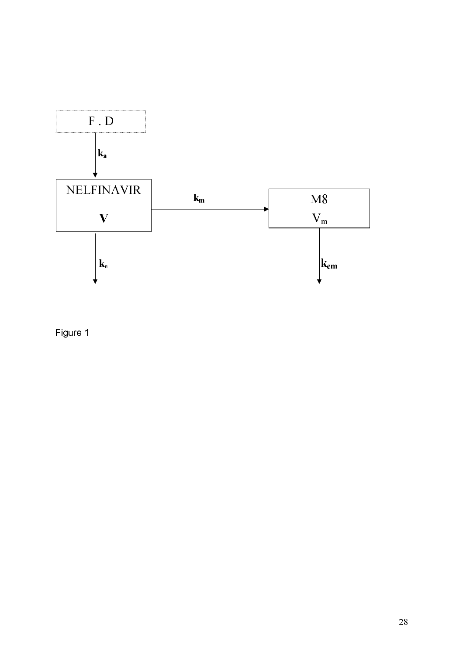

Figure 1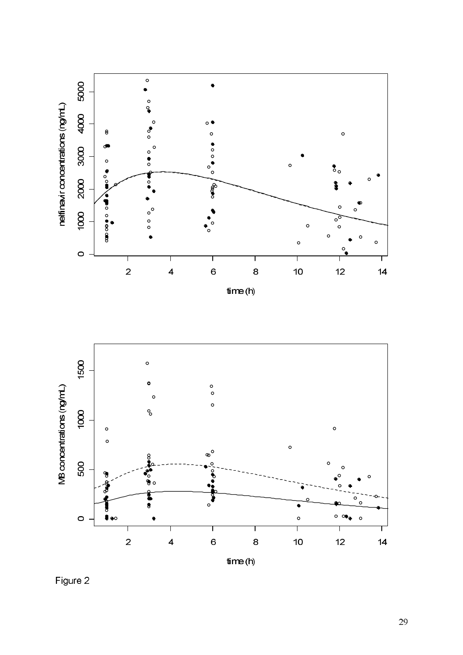



Figure 2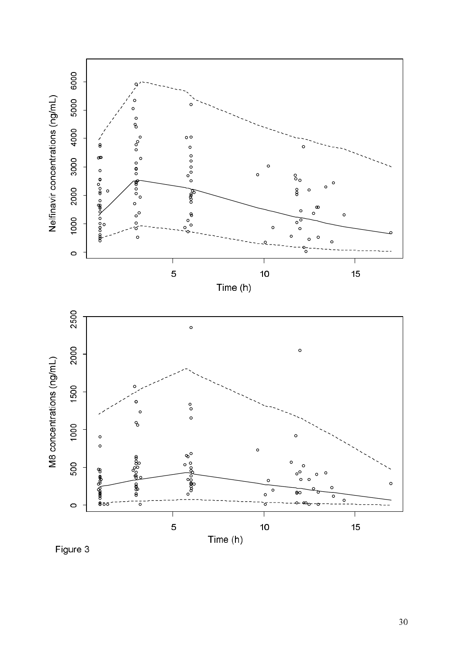

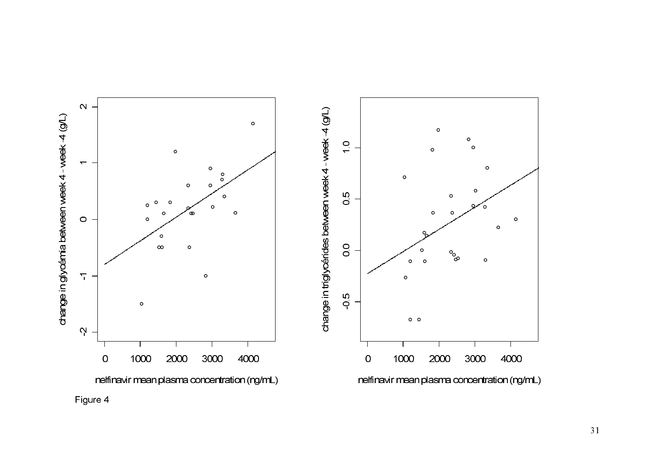

Figure 4